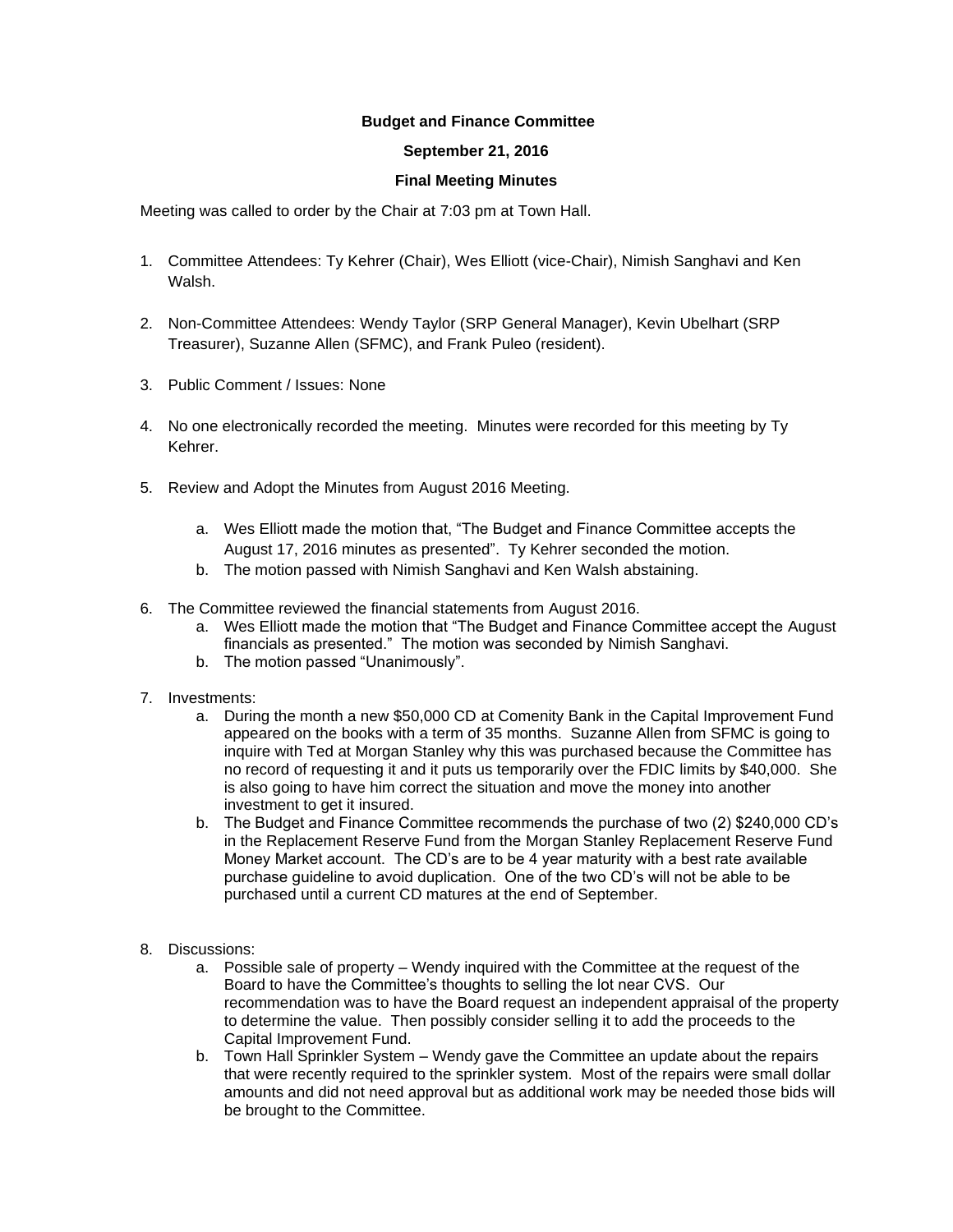## **Budget and Finance Committee**

## **September 21, 2016**

## **Final Meeting Minutes**

Meeting was called to order by the Chair at 7:03 pm at Town Hall.

- 1. Committee Attendees: Ty Kehrer (Chair), Wes Elliott (vice-Chair), Nimish Sanghavi and Ken Walsh.
- 2. Non-Committee Attendees: Wendy Taylor (SRP General Manager), Kevin Ubelhart (SRP Treasurer), Suzanne Allen (SFMC), and Frank Puleo (resident).
- 3. Public Comment / Issues: None
- 4. No one electronically recorded the meeting. Minutes were recorded for this meeting by Ty Kehrer.
- 5. Review and Adopt the Minutes from August 2016 Meeting.
	- a. Wes Elliott made the motion that, "The Budget and Finance Committee accepts the August 17, 2016 minutes as presented". Ty Kehrer seconded the motion.
	- b. The motion passed with Nimish Sanghavi and Ken Walsh abstaining.
- 6. The Committee reviewed the financial statements from August 2016.
	- a. Wes Elliott made the motion that "The Budget and Finance Committee accept the August financials as presented." The motion was seconded by Nimish Sanghavi.
	- b. The motion passed "Unanimously".
- 7. Investments:
	- a. During the month a new \$50,000 CD at Comenity Bank in the Capital Improvement Fund appeared on the books with a term of 35 months. Suzanne Allen from SFMC is going to inquire with Ted at Morgan Stanley why this was purchased because the Committee has no record of requesting it and it puts us temporarily over the FDIC limits by \$40,000. She is also going to have him correct the situation and move the money into another investment to get it insured.
	- b. The Budget and Finance Committee recommends the purchase of two (2) \$240,000 CD's in the Replacement Reserve Fund from the Morgan Stanley Replacement Reserve Fund Money Market account. The CD's are to be 4 year maturity with a best rate available purchase guideline to avoid duplication. One of the two CD's will not be able to be purchased until a current CD matures at the end of September.
- 8. Discussions:
	- a. Possible sale of property Wendy inquired with the Committee at the request of the Board to have the Committee's thoughts to selling the lot near CVS. Our recommendation was to have the Board request an independent appraisal of the property to determine the value. Then possibly consider selling it to add the proceeds to the Capital Improvement Fund.
	- b. Town Hall Sprinkler System Wendy gave the Committee an update about the repairs that were recently required to the sprinkler system. Most of the repairs were small dollar amounts and did not need approval but as additional work may be needed those bids will be brought to the Committee.